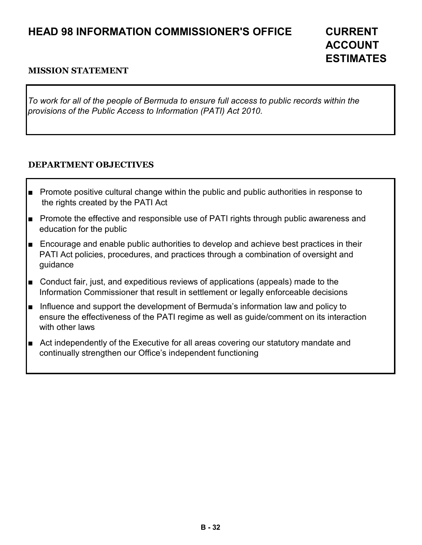# **HEAD 98 INFORMATION COMMISSIONER'S OFFICE CURRENT**

# **ACCOUNT ESTIMATES**

#### **MISSION STATEMENT**

*To work for all of the people of Bermuda to ensure full access to public records within the provisions of the Public Access to Information (PATI) Act 2010.* 

#### **DEPARTMENT OBJECTIVES**

- Promote positive cultural change within the public and public authorities in response to the rights created by the PATI Act
- Promote the effective and responsible use of PATI rights through public awareness and education for the public
- Encourage and enable public authorities to develop and achieve best practices in their PATI Act policies, procedures, and practices through a combination of oversight and guidance
- Conduct fair, just, and expeditious reviews of applications (appeals) made to the Information Commissioner that result in settlement or legally enforceable decisions
- Influence and support the development of Bermuda's information law and policy to ensure the effectiveness of the PATI regime as well as guide/comment on its interaction with other laws
- Act independently of the Executive for all areas covering our statutory mandate and continually strengthen our Office's independent functioning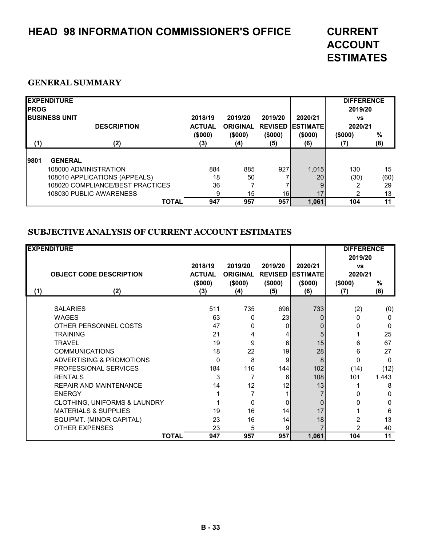# **HEAD 98 INFORMATION COMMISSIONER'S OFFICE CURRENT**

# **ACCOUNT ESTIMATES**

#### **GENERAL SUMMARY**

| <b>IPROG</b> | <b>EXPENDITURE</b><br><b>IBUSINESS UNIT</b><br><b>DESCRIPTION</b> | 2018/19<br><b>ACTUAL</b> | 2019/20<br><b>ORIGINAL</b> | 2019/20<br><b>REVISED</b> | 2020/21<br><b>IESTIMATEI</b> | <b>DIFFERENCE</b><br>2019/20<br><b>VS</b><br>2020/21 |             |
|--------------|-------------------------------------------------------------------|--------------------------|----------------------------|---------------------------|------------------------------|------------------------------------------------------|-------------|
| (1)          | (2)                                                               | (\$000)<br>(3)           | (\$000)<br>(4)             | (\$000)<br>(5)            | (\$000)<br>(6)               | (\$000)<br>(7)                                       | $\%$<br>(8) |
| 9801         | <b>GENERAL</b>                                                    |                          |                            |                           |                              |                                                      |             |
|              | 108000 ADMINISTRATION                                             | 884                      | 885                        | 927                       | 1,015                        | 130                                                  | 15          |
|              | 108010 APPLICATIONS (APPEALS)                                     | 18                       | 50                         |                           | 20                           | (30)                                                 | (60)        |
|              | 108020 COMPLIANCE/BEST PRACTICES                                  | 36                       |                            |                           | 9                            |                                                      | 29          |
|              | 108030 PUBLIC AWARENESS                                           | 9                        | 15                         | 16I                       | 17                           | ົ                                                    | 13          |
|              | <b>TOTAL</b>                                                      | 947                      | 957                        | 957                       | 1,061                        | 104                                                  | 11          |

#### **SUBJECTIVE ANALYSIS OF CURRENT ACCOUNT ESTIMATES**

|     | <b>EXPENDITURE</b><br><b>OBJECT CODE DESCRIPTION</b>                                        | 2018/19<br><b>ACTUAL</b><br>(\$000) | 2019/20<br><b>ORIGINAL</b><br>(\$000) | 2019/20<br><b>REVISED</b><br>(\$000) | 2020/21<br><b>ESTIMATE</b><br>(\$000) | <b>DIFFERENCE</b><br>2019/20<br><b>VS</b><br>2020/21<br>(\$000) | %                              |
|-----|---------------------------------------------------------------------------------------------|-------------------------------------|---------------------------------------|--------------------------------------|---------------------------------------|-----------------------------------------------------------------|--------------------------------|
| (1) | (2)                                                                                         | (3)                                 | (4)                                   | (5)                                  | (6)                                   | (7)                                                             | (8)                            |
|     | <b>SALARIES</b><br><b>WAGES</b><br>OTHER PERSONNEL COSTS<br><b>TRAINING</b>                 | 511<br>63<br>47<br>21               | 735<br>0<br>O<br>4                    | 696<br>23<br>0                       | 733<br>0<br>0<br>5                    | (2)<br>0<br>O                                                   | (0)<br>0<br><sup>0</sup><br>25 |
|     | <b>TRAVEL</b><br><b>COMMUNICATIONS</b>                                                      | 19<br>18                            | 9<br>22                               | 6<br>19                              | 15<br>28                              | 6<br>6                                                          | 67<br>27                       |
|     | <b>ADVERTISING &amp; PROMOTIONS</b><br>PROFESSIONAL SERVICES                                | $\Omega$<br>184                     | 8<br>116                              | 9<br>144                             | 8<br>102                              | 0<br>(14)                                                       | $\Omega$<br>(12)               |
|     | <b>RENTALS</b><br><b>REPAIR AND MAINTENANCE</b><br><b>ENERGY</b>                            | 3<br>14                             | 12                                    | 6<br>12                              | 108<br>13                             | 101<br>n                                                        | 1,443<br>8<br>O                |
|     | CLOTHING, UNIFORMS & LAUNDRY<br><b>MATERIALS &amp; SUPPLIES</b><br>EQUIPMT. (MINOR CAPITAL) | 19<br>23                            | $\Omega$<br>16<br>16                  | 0<br>14<br>14                        | 0<br>17<br>18                         | O                                                               | O<br>6<br>13                   |
|     | <b>OTHER EXPENSES</b><br><b>TOTAL</b>                                                       | 23<br>947                           | 5<br>957                              | 9<br>957                             | 1,061                                 | 2<br>104                                                        | 40<br>11                       |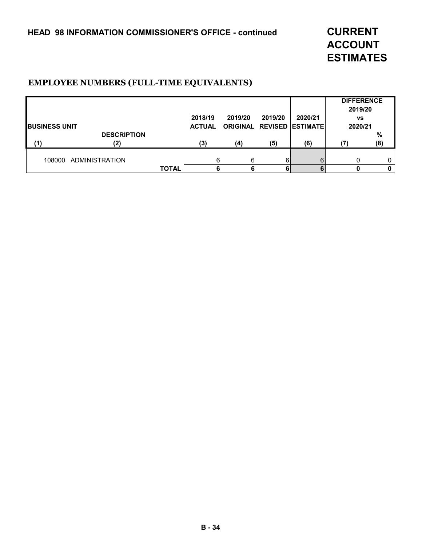**ACCOUNT ESTIMATES**

#### **EMPLOYEE NUMBERS (FULL-TIME EQUIVALENTS)**

|                       |                    |              |               |         |         |                                  | <b>DIFFERENCE</b><br>2019/20 |      |
|-----------------------|--------------------|--------------|---------------|---------|---------|----------------------------------|------------------------------|------|
|                       |                    |              | 2018/19       | 2019/20 | 2019/20 | 2020/21                          | <b>VS</b>                    |      |
| <b>IBUSINESS UNIT</b> |                    |              | <b>ACTUAL</b> |         |         | <b>ORIGINAL REVISED ESTIMATE</b> | 2020/21                      |      |
|                       | <b>DESCRIPTION</b> |              |               |         |         |                                  |                              | $\%$ |
| (1)                   | (2)                |              | (3)           | (4)     | (5)     | (6)                              | (7                           | (8)  |
| 108000                | ADMINISTRATION     |              | 6             | 6       |         | 6                                |                              | 0    |
|                       |                    | <b>TOTAL</b> |               | 6       |         |                                  |                              | 0    |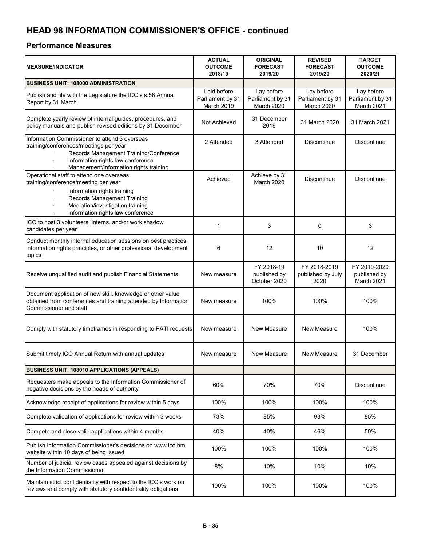## **HEAD 98 INFORMATION COMMISSIONER'S OFFICE - continued**

#### **Performance Measures**

| <b>MEASURE/INDICATOR</b>                                                                                                                                                                                                                 | <b>ACTUAL</b><br><b>OUTCOME</b><br>2018/19    | <b>ORIGINAL</b><br><b>FORECAST</b><br>2019/20 | <b>REVISED</b><br><b>FORECAST</b><br>2019/20 | <b>TARGET</b><br><b>OUTCOME</b><br>2020/21   |
|------------------------------------------------------------------------------------------------------------------------------------------------------------------------------------------------------------------------------------------|-----------------------------------------------|-----------------------------------------------|----------------------------------------------|----------------------------------------------|
| <b>BUSINESS UNIT: 108000 ADMINISTRATION</b>                                                                                                                                                                                              |                                               |                                               |                                              |                                              |
| Publish and file with the Legislature the ICO's s.58 Annual<br>Report by 31 March                                                                                                                                                        | Laid before<br>Parliament by 31<br>March 2019 | Lay before<br>Parliament by 31<br>March 2020  | Lay before<br>Parliament by 31<br>March 2020 | Lay before<br>Parliament by 31<br>March 2021 |
| Complete yearly review of internal guides, procedures, and<br>policy manuals and publish revised editions by 31 December                                                                                                                 | Not Achieved                                  | 31 December<br>2019                           | 31 March 2020                                | 31 March 2021                                |
| Information Commissioner to attend 3 overseas<br>training/conferences/meetings per year<br>Records Management Training/Conference<br>Information rights law conference<br>$\ddot{\phantom{0}}$<br>Management/information rights training | 2 Attended                                    | 3 Attended                                    | <b>Discontinue</b>                           | Discontinue                                  |
| Operational staff to attend one overseas<br>training/conference/meeting per year<br>Information rights training<br>Records Management Training<br>Mediation/investigation training<br>Information rights law conference                  | Achieved                                      | Achieve by 31<br>March 2020                   | <b>Discontinue</b>                           | <b>Discontinue</b>                           |
| ICO to host 3 volunteers, interns, and/or work shadow<br>candidates per year                                                                                                                                                             | 1                                             | 3                                             | 0                                            | 3                                            |
| Conduct monthly internal education sessions on best practices,<br>information rights principles, or other professional development<br>topics                                                                                             | 6                                             | 12                                            | 10                                           | 12                                           |
| Receive unqualified audit and publish Financial Statements                                                                                                                                                                               | New measure                                   | FY 2018-19<br>published by<br>October 2020    | FY 2018-2019<br>published by July<br>2020    | FY 2019-2020<br>published by<br>March 2021   |
| Document application of new skill, knowledge or other value<br>obtained from conferences and training attended by Information<br>Commissioner and staff                                                                                  | New measure                                   | 100%                                          | 100%                                         | 100%                                         |
| Comply with statutory timeframes in responding to PATI requests                                                                                                                                                                          | New measure                                   | New Measure                                   | <b>New Measure</b>                           | 100%                                         |
| Submit timely ICO Annual Return with annual updates                                                                                                                                                                                      | New measure                                   | New Measure                                   | <b>New Measure</b>                           | 31 December                                  |
| <b>BUSINESS UNIT: 108010 APPLICATIONS (APPEALS)</b>                                                                                                                                                                                      |                                               |                                               |                                              |                                              |
| Requesters make appeals to the Information Commissioner of<br>negative decisions by the heads of authority                                                                                                                               | 60%                                           | 70%                                           | 70%                                          | Discontinue                                  |
| Acknowledge receipt of applications for review within 5 days                                                                                                                                                                             | 100%                                          | 100%                                          | 100%                                         | 100%                                         |
| Complete validation of applications for review within 3 weeks                                                                                                                                                                            | 73%                                           | 85%                                           | 93%                                          | 85%                                          |
| Compete and close valid applications within 4 months                                                                                                                                                                                     | 40%                                           | 40%                                           | 46%                                          | 50%                                          |
| Publish Information Commissioner's decisions on www.ico.bm<br>website within 10 days of being issued                                                                                                                                     | 100%                                          | 100%                                          | 100%                                         | 100%                                         |
| Number of judicial review cases appealed against decisions by<br>the Information Commissioner                                                                                                                                            | 8%                                            | 10%                                           | 10%                                          | 10%                                          |
| Maintain strict confidentiality with respect to the ICO's work on<br>reviews and comply with statutory confidentiality obligations                                                                                                       | 100%                                          | 100%                                          | 100%                                         | 100%                                         |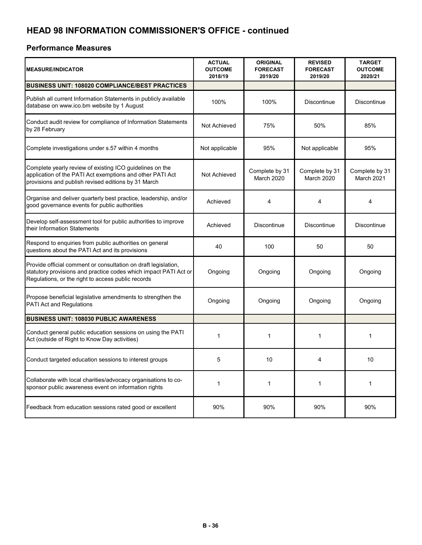## **HEAD 98 INFORMATION COMMISSIONER'S OFFICE - continued**

#### **Performance Measures**

| <b>MEASURE/INDICATOR</b>                                                                                                                                                                 | <b>ACTUAL</b><br><b>OUTCOME</b><br>2018/19 | <b>ORIGINAL</b><br><b>FORECAST</b><br>2019/20 | <b>REVISED</b><br><b>FORECAST</b><br>2019/20 | <b>TARGET</b><br><b>OUTCOME</b><br>2020/21 |
|------------------------------------------------------------------------------------------------------------------------------------------------------------------------------------------|--------------------------------------------|-----------------------------------------------|----------------------------------------------|--------------------------------------------|
| <b>BUSINESS UNIT: 108020 COMPLIANCE/BEST PRACTICES</b>                                                                                                                                   |                                            |                                               |                                              |                                            |
| Publish all current Information Statements in publicly available<br>database on www.ico.bm website by 1 August                                                                           | 100%                                       | 100%                                          | Discontinue                                  | Discontinue                                |
| Conduct audit review for compliance of Information Statements<br>by 28 February                                                                                                          | Not Achieved                               | 75%                                           | 50%                                          | 85%                                        |
| Complete investigations under s.57 within 4 months                                                                                                                                       | Not applicable                             | 95%                                           | Not applicable                               | 95%                                        |
| Complete yearly review of existing ICO guidelines on the<br>application of the PATI Act exemptions and other PATI Act<br>provisions and publish revised editions by 31 March             | Not Achieved                               | Complete by 31<br>March 2020                  | Complete by 31<br>March 2020                 | Complete by 31<br>March 2021               |
| Organise and deliver quarterly best practice, leadership, and/or<br>good governance events for public authorities                                                                        | Achieved                                   | 4                                             | 4                                            | $\overline{4}$                             |
| Develop self-assessment tool for public authorities to improve<br>their Information Statements                                                                                           | Achieved                                   | <b>Discontinue</b>                            | Discontinue                                  | <b>Discontinue</b>                         |
| Respond to enquiries from public authorities on general<br>questions about the PATI Act and its provisions                                                                               | 40                                         | 100                                           | 50                                           | 50                                         |
| Provide official comment or consultation on draft legislation,<br>statutory provisions and practice codes which impact PATI Act or<br>Regulations, or the right to access public records | Ongoing                                    | Ongoing                                       | Ongoing                                      | Ongoing                                    |
| Propose beneficial legislative amendments to strengthen the<br>PATI Act and Regulations                                                                                                  | Ongoing                                    | Ongoing                                       | Ongoing                                      | Ongoing                                    |
| <b>BUSINESS UNIT: 108030 PUBLIC AWARENESS</b>                                                                                                                                            |                                            |                                               |                                              |                                            |
| Conduct general public education sessions on using the PATI<br>Act (outside of Right to Know Day activities)                                                                             | 1                                          | 1                                             | 1                                            | 1                                          |
| Conduct targeted education sessions to interest groups                                                                                                                                   | 5                                          | 10                                            | 4                                            | 10                                         |
| Collaborate with local charities/advocacy organisations to co-<br>sponsor public awareness event on information rights                                                                   | 1                                          | $\mathbf{1}$                                  | 1                                            | $\mathbf{1}$                               |
| Feedback from education sessions rated good or excellent                                                                                                                                 | 90%                                        | 90%                                           | 90%                                          | 90%                                        |